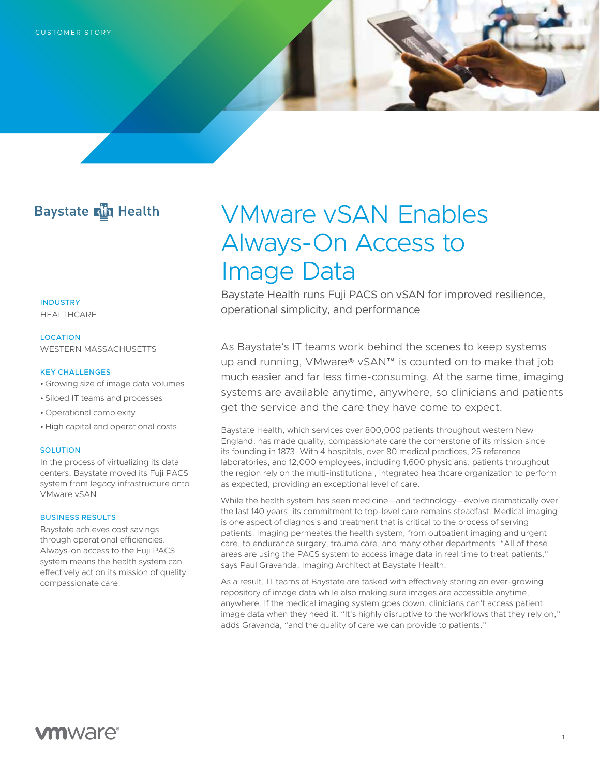# **Baystate Min Health**

**INDUSTRY** 

HEALTHCARE

#### LOCATION

WESTERN MASSACHUSETTS

# KEY CHALLENGES

- Growing size of image data volumes
- Siloed IT teams and processes
- Operational complexity
- High capital and operational costs

#### **SOLUTION**

In the process of virtualizing its data centers, Baystate moved its Fuji PACS system from legacy infrastructure onto VMware vSAN.

# BUSINESS RESULTS

Baystate achieves cost savings through operational efficiencies. Always-on access to the Fuji PACS system means the health system can effectively act on its mission of quality compassionate care.

# VMware vSAN Enables Always-On Access to Image Data

Baystate Health runs Fuji PACS on vSAN for improved resilience, operational simplicity, and performance

As Baystate's IT teams work behind the scenes to keep systems up and running, VMware® vSAN™ is counted on to make that job much easier and far less time-consuming. At the same time, imaging systems are available anytime, anywhere, so clinicians and patients get the service and the care they have come to expect.

Baystate Health, which services over 800,000 patients throughout western New England, has made quality, compassionate care the cornerstone of its mission since its founding in 1873. With 4 hospitals, over 80 medical practices, 25 reference laboratories, and 12,000 employees, including 1,600 physicians, patients throughout the region rely on the multi-institutional, integrated healthcare organization to perform as expected, providing an exceptional level of care.

While the health system has seen medicine—and technology—evolve dramatically over the last 140 years, its commitment to top-level care remains steadfast. Medical imaging is one aspect of diagnosis and treatment that is critical to the process of serving patients. Imaging permeates the health system, from outpatient imaging and urgent care, to endurance surgery, trauma care, and many other departments. "All of these areas are using the PACS system to access image data in real time to treat patients," says Paul Gravanda, Imaging Architect at Baystate Health.

As a result, IT teams at Baystate are tasked with effectively storing an ever-growing repository of image data while also making sure images are accessible anytime, anywhere. If the medical imaging system goes down, clinicians can't access patient image data when they need it. "It's highly disruptive to the workflows that they rely on," adds Gravanda, "and the quality of care we can provide to patients."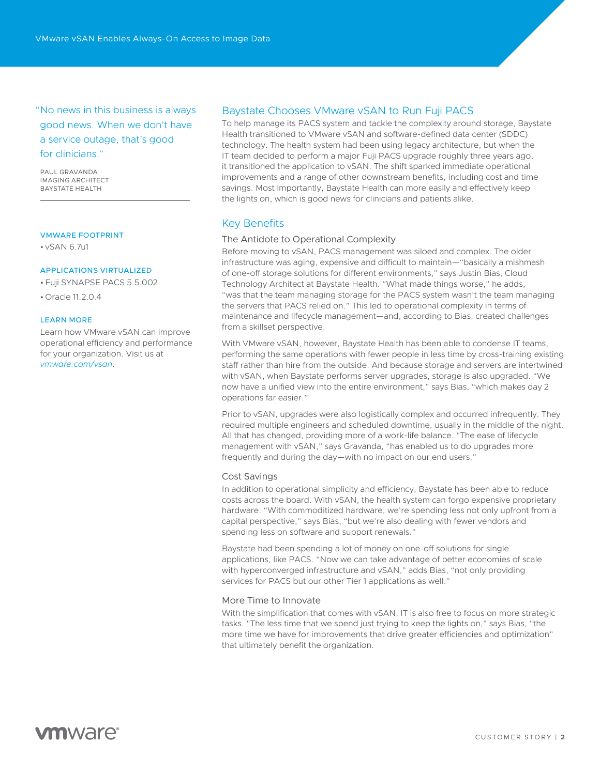"No news in this business is always good news. When we don't have a service outage, that's good for clinicians."

PAUL GRAVANDA IMAGING ARCHITECT BAYSTATE HEALTH

#### VMWARE FOOTPRINT

• vSAN 6.7u1

# APPLICATIONS VIRTUALIZED

• Fuji SYNAPSE PACS 5.5.002

• Oracle 11.2.0.4

### LEARN MORE

Learn how VMware vSAN can improve operational efficiency and performance for your organization. Visit us at *[vmware.com/vsan](https://www.vmware.com/products/vsan.html)*.

# Baystate Chooses VMware vSAN to Run Fuji PACS

To help manage its PACS system and tackle the complexity around storage, Baystate Health transitioned to VMware vSAN and software-defined data center (SDDC) technology. The health system had been using legacy architecture, but when the IT team decided to perform a major Fuji PACS upgrade roughly three years ago, it transitioned the application to vSAN. The shift sparked immediate operational improvements and a range of other downstream benefits, including cost and time savings. Most importantly, Baystate Health can more easily and effectively keep the lights on, which is good news for clinicians and patients alike.

# Key Benefits

# The Antidote to Operational Complexity

Before moving to vSAN, PACS management was siloed and complex. The older infrastructure was aging, expensive and difficult to maintain—"basically a mishmash of one-off storage solutions for different environments," says Justin Bias, Cloud Technology Architect at Baystate Health. "What made things worse," he adds, "was that the team managing storage for the PACS system wasn't the team managing the servers that PACS relied on." This led to operational complexity in terms of maintenance and lifecycle management—and, according to Bias, created challenges from a skillset perspective.

With VMware vSAN, however, Baystate Health has been able to condense IT teams, performing the same operations with fewer people in less time by cross-training existing staff rather than hire from the outside. And because storage and servers are intertwined with vSAN, when Baystate performs server upgrades, storage is also upgraded. "We now have a unified view into the entire environment," says Bias, "which makes day 2 operations far easier."

Prior to vSAN, upgrades were also logistically complex and occurred infrequently. They required multiple engineers and scheduled downtime, usually in the middle of the night. All that has changed, providing more of a work-life balance. "The ease of lifecycle management with vSAN," says Gravanda, "has enabled us to do upgrades more frequently and during the day—with no impact on our end users."

#### Cost Savings

In addition to operational simplicity and efficiency, Baystate has been able to reduce costs across the board. With vSAN, the health system can forgo expensive proprietary hardware. "With commoditized hardware, we're spending less not only upfront from a capital perspective," says Bias, "but we're also dealing with fewer vendors and spending less on software and support renewals."

Baystate had been spending a lot of money on one-off solutions for single applications, like PACS. "Now we can take advantage of better economies of scale with hyperconverged infrastructure and vSAN," adds Bias, "not only providing services for PACS but our other Tier 1 applications as well."

### More Time to Innovate

With the simplification that comes with vSAN, IT is also free to focus on more strategic tasks. "The less time that we spend just trying to keep the lights on," says Bias, "the more time we have for improvements that drive greater efficiencies and optimization" that ultimately benefit the organization.